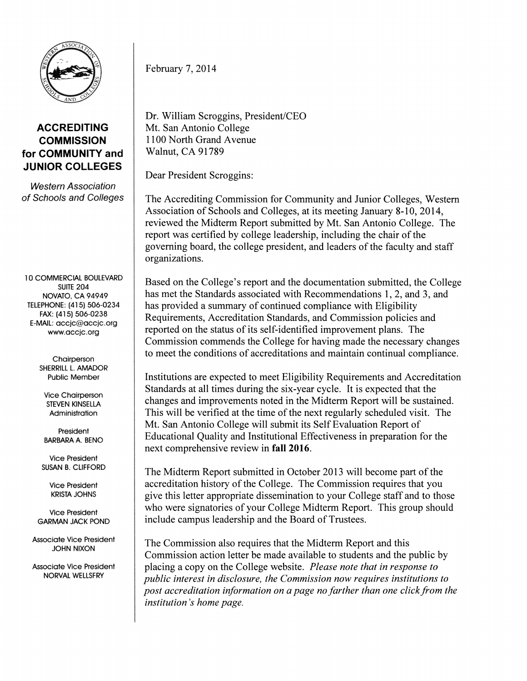

## **ACCREDITING COMMISSION for COMMUNITY and JUNIOR COLLEGES**

Western Association of Schools and Colleges

10 COMMERCIAL BOULEVARD SUITE 204 NOVATO, CA 94949 TELEPHONE: (415) 506-0234 FAX: (415) 506-0238 E-MAIL: accjc@accjc.org www.accjc.org

> **Chairperson** SHERRILL L. AMADOR Public Member

Vice Chairperson STEVEN KINSELLA Administration

President **BARBARA A.** BENO

Vice President SUSAN B. CLIFFORD

> **Vice President KRISTA JOHNS**

**Vice President GARMAN JACK POND** 

**Associate Vice President JOHN NIXON** 

**Associate Vice President NORVAL WELLSFRY** 

February 7, 2014

Dr. William Scroggins, President/CEO Mt. San Antonio College 1100 North Grand Avenue Walnut, CA 91789

Dear President Scroggins:

The Accrediting Commission for Community and Junior Colleges, Western Association of Schools and Colleges, at its meeting January 8-10, 2014, reviewed the Midterm Report submitted by Mt. San Antonio College. The report was certified by college leadership, including the chair of the governing board, the college president, and leaders of the faculty and staff organizations.

Based on the College's report and the documentation submitted, the College has met the Standards associated with Recommendations 1, 2, and 3, and has provided a summary of continued compliance with Eligibility Requirements, Accreditation Standards, and Commission policies and reported on the status of its self-identified improvement plans. The Commission commends the College for having made the necessary changes to meet the conditions of accreditations and maintain continual compliance.

Institutions are expected to meet Eligibility Requirements and Accreditation Standards at all times during the six-year cycle. It is expected that the changes and improvements noted in the Midterm Report will be sustained. This will be verified at the time of the next regularly scheduled visit. The Mt. San Antonio College will submit its Self Evaluation Report of Educational Quality and Institutional Effectiveness in preparation for the next comprehensive review in **fall 2016.** 

The Midterm Report submitted in October 2013 will become part of the accreditation history of the College. The Commission requires that you give this letter appropriate dissemination to your College staff and to those who were signatories of your College Midterm Report. This group should include campus leadership and the Board of Trustees.

The Commission also requires that the Midterm Report and this Commission action letter be made available to students and the public by placing a copy on the College website. *Please note that in response to public interest in disclosure, the Commission now requires institutions to post accreditation information on a page no farther than one click from the institution's home page.*